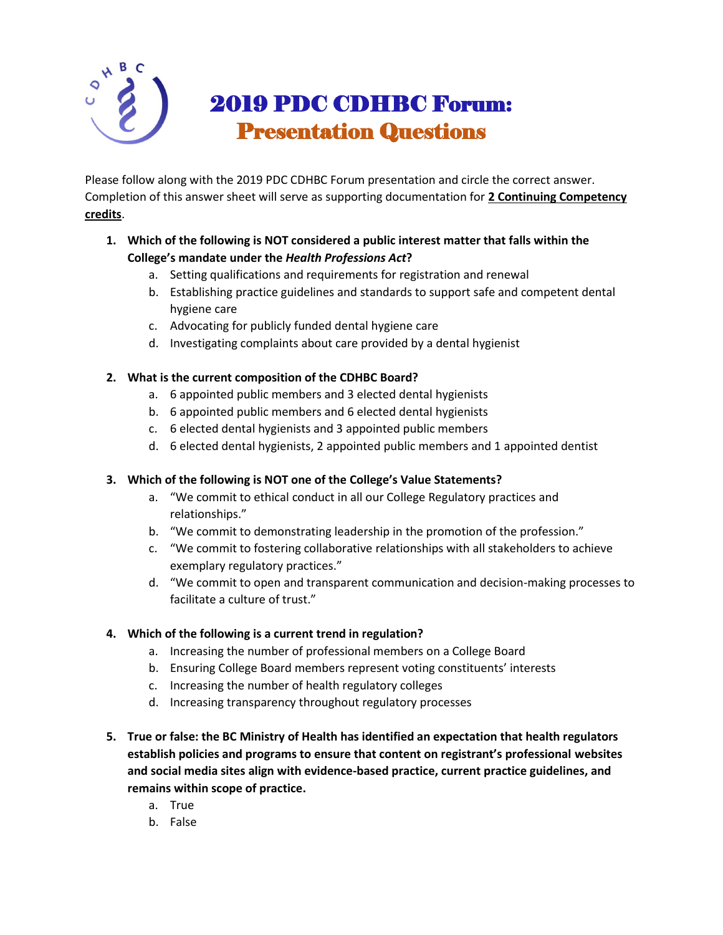

Please follow along with the 2019 PDC CDHBC Forum presentation and circle the correct answer. Completion of this answer sheet will serve as supporting documentation for **2 Continuing Competency credits**.

- **1. Which of the following is NOT considered a public interest matter that falls within the College's mandate under the** *Health Professions Act***?** 
	- a. Setting qualifications and requirements for registration and renewal
	- b. Establishing practice guidelines and standards to support safe and competent dental hygiene care
	- c. Advocating for publicly funded dental hygiene care
	- d. Investigating complaints about care provided by a dental hygienist

## **2. What is the current composition of the CDHBC Board?**

- a. 6 appointed public members and 3 elected dental hygienists
- b. 6 appointed public members and 6 elected dental hygienists
- c. 6 elected dental hygienists and 3 appointed public members
- d. 6 elected dental hygienists, 2 appointed public members and 1 appointed dentist

## **3. Which of the following is NOT one of the College's Value Statements?**

- a. "We commit to ethical conduct in all our College Regulatory practices and relationships."
- b. "We commit to demonstrating leadership in the promotion of the profession."
- c. "We commit to fostering collaborative relationships with all stakeholders to achieve exemplary regulatory practices."
- d. "We commit to open and transparent communication and decision-making processes to facilitate a culture of trust."

## **4. Which of the following is a current trend in regulation?**

- a. Increasing the number of professional members on a College Board
- b. Ensuring College Board members represent voting constituents' interests
- c. Increasing the number of health regulatory colleges
- d. Increasing transparency throughout regulatory processes
- **5. True or false: the BC Ministry of Health has identified an expectation that health regulators establish policies and programs to ensure that content on registrant's professional websites and social media sites align with evidence-based practice, current practice guidelines, and remains within scope of practice.**
	- a. True
	- b. False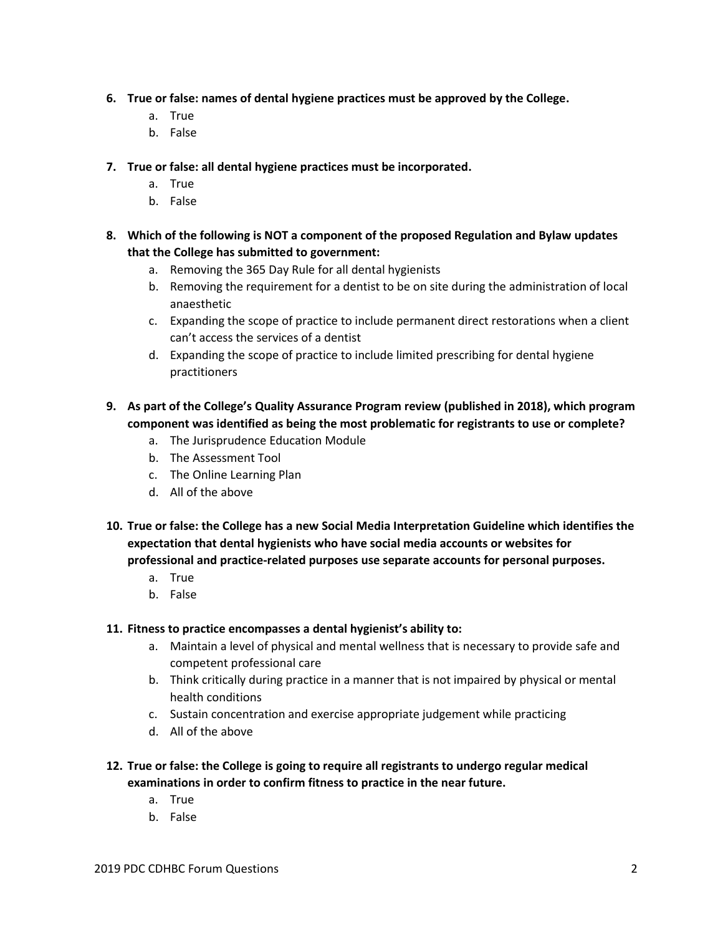- **6. True or false: names of dental hygiene practices must be approved by the College.**
	- a. True
	- b. False
- **7. True or false: all dental hygiene practices must be incorporated.**
	- a. True
	- b. False
- **8. Which of the following is NOT a component of the proposed Regulation and Bylaw updates that the College has submitted to government:**
	- a. Removing the 365 Day Rule for all dental hygienists
	- b. Removing the requirement for a dentist to be on site during the administration of local anaesthetic
	- c. Expanding the scope of practice to include permanent direct restorations when a client can't access the services of a dentist
	- d. Expanding the scope of practice to include limited prescribing for dental hygiene practitioners
- **9. As part of the College's Quality Assurance Program review (published in 2018), which program component was identified as being the most problematic for registrants to use or complete?** 
	- a. The Jurisprudence Education Module
	- b. The Assessment Tool
	- c. The Online Learning Plan
	- d. All of the above
- **10. True or false: the College has a new Social Media Interpretation Guideline which identifies the expectation that dental hygienists who have social media accounts or websites for professional and practice-related purposes use separate accounts for personal purposes.** 
	- a. True
	- b. False

## **11. Fitness to practice encompasses a dental hygienist's ability to:**

- a. Maintain a level of physical and mental wellness that is necessary to provide safe and competent professional care
- b. Think critically during practice in a manner that is not impaired by physical or mental health conditions
- c. Sustain concentration and exercise appropriate judgement while practicing
- d. All of the above
- **12. True or false: the College is going to require all registrants to undergo regular medical examinations in order to confirm fitness to practice in the near future.**
	- a. True
	- b. False